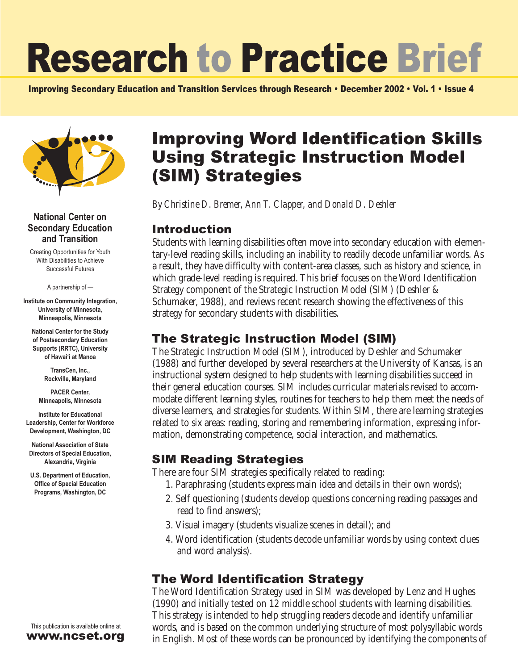# Research to Practice Brief

Improving Secondary Education and Transition Services through Research • December 2002 • Vol. 1 • Issue 4



#### **National Center on Secondary Education and Transition**

Creating Opportunities for Youth With Disabilities to Achieve Successful Futures

A partnership of —

**Institute on Community Integration, University of Minnesota, Minneapolis, Minnesota**

**National Center for the Study of Postsecondary Education Supports (RRTC), University of Hawai'i at Manoa**

> **TransCen, Inc., Rockville, Maryland**

**PACER Center, Minneapolis, Minnesota**

**Institute for Educational Leadership, Center for Workforce Development, Washington, DC**

**National Association of State Directors of Special Education, Alexandria, Virginia**

**U.S. Department of Education, Office of Special Education Programs, Washington, DC**

## (SIM) Strategies *By Christine D. Bremer, Ann T. Clapper, and Donald D. Deshler* Introduction

Students with learning disabilities often move into secondary education with elementary-level reading skills, including an inability to readily decode unfamiliar words. As a result, they have difficulty with content-area classes, such as history and science, in which grade-level reading is required. This brief focuses on the Word Identification Strategy component of the Strategic Instruction Model (SIM) (Deshler & Schumaker, 1988), and reviews recent research showing the effectiveness of this strategy for secondary students with disabilities.

Improving Word Identification Skills

Using Strategic Instruction Model

#### The Strategic Instruction Model (SIM)

The Strategic Instruction Model (SIM), introduced by Deshler and Schumaker (1988) and further developed by several researchers at the University of Kansas, is an instructional system designed to help students with learning disabilities succeed in their general education courses. SIM includes curricular materials revised to accommodate different learning styles, routines for teachers to help them meet the needs of diverse learners, and strategies for students. Within SIM, there are learning strategies related to six areas: reading, storing and remembering information, expressing information, demonstrating competence, social interaction, and mathematics.

#### SIM Reading Strategies

There are four SIM strategies specifically related to reading:

- 1. Paraphrasing (students express main idea and details in their own words);
- 2. Self questioning (students develop questions concerning reading passages and read to find answers);
- 3. Visual imagery (students visualize scenes in detail); and
- 4. Word identification (students decode unfamiliar words by using context clues and word analysis).

## The Word Identification Strategy

The Word Identification Strategy used in SIM was developed by Lenz and Hughes (1990) and initially tested on 12 middle school students with learning disabilities. This strategy is intended to help struggling readers decode and identify unfamiliar words, and is based on the common underlying structure of most polysyllabic words in English. Most of these words can be pronounced by identifying the components of

This publication is available online at www.ncset.org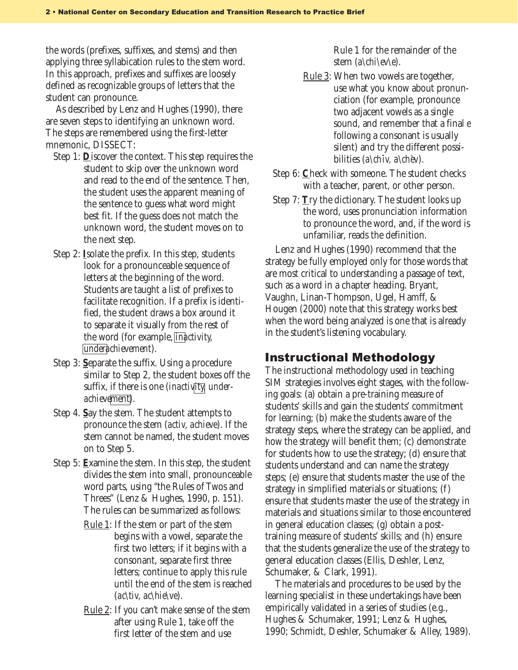**2**the words (prefixes, suffixes, and stems) and then applying three syllabication rules to the stem word. In this approach, prefixes and suffixes are loosely defined as recognizable groups of letters that the student can pronounce.

As described by Lenz and Hughes (1990), there are seven steps to identifying an unknown word. The steps are remembered using the first-letter mnemonic, DISSECT:

- Step 1: **D**iscover the context. This step requires the student to skip over the unknown word and read to the end of the sentence. Then, the student uses the apparent meaning of the sentence to guess what word might best fit. If the guess does not match the unknown word, the student moves on to the next step.
- Step 2: **I**solate the prefix. In this step, students look for a pronounceable sequence of letters at the beginning of the word. Students are taught a list of prefixes to facilitate recognition. If a prefix is identified, the student draws a box around it to separate it visually from the rest of the word (for example, *inactivity, underachievement*).
- Step 3: **S**eparate the suffix. Using a procedure similar to Step 2, the student boxes off the suffix, if there is one (*inactivity, underachievement*).
- Step 4. **S**ay the stem. The student attempts to pronounce the stem (*activ, achieve*). If the stem cannot be named, the student moves on to Step 5.
- Step 5: **E**xamine the stem. In this step, the student divides the stem into small, pronounceable word parts, using "the Rules of Twos and Threes" (Lenz & Hughes, 1990, p. 151). The rules can be summarized as follows:
	- Rule 1: If the stem or part of the stem begins with a vowel, separate the first two letters; if it begins with a consonant, separate first three letters; continue to apply this rule until the end of the stem is reached (*ac\tiv, ac\hie\ve*).
	- Rule 2: If you can't make sense of the stem after using Rule 1, take off the first letter of the stem and use

Rule 1 for the remainder of the stem (*a\chi\ev\e*).

- Rule 3: When two vowels are together, use what you know about pronunciation (for example, pronounce two adjacent vowels as a single sound, and remember that a final *e* following a consonant is usually silent) and try the different possibilities (*a\ch¯iv, a\ch¯ev*).
- Step 6: **C**heck with someone. The student checks with a teacher, parent, or other person.
- Step 7: **T**ry the dictionary. The student looks up the word, uses pronunciation information to pronounce the word, and, if the word is unfamiliar, reads the definition.

Lenz and Hughes (1990) recommend that the strategy be fully employed only for those words that are most critical to understanding a passage of text, such as a word in a chapter heading. Bryant, Vaughn, Linan-Thompson, Ugel, Hamff, & Hougen (2000) note that this strategy works best when the word being analyzed is one that is already in the student's listening vocabulary.

#### Instructional Methodology

The instructional methodology used in teaching SIM strategies involves eight stages, with the following goals: (a) obtain a pre-training measure of students' skills and gain the students' commitment for learning; (b) make the students aware of the strategy steps, where the strategy can be applied, and how the strategy will benefit them; (c) demonstrate for students how to use the strategy; (d) ensure that students understand and can name the strategy steps; (e) ensure that students master the use of the strategy in simplified materials or situations; (f) ensure that students master the use of the strategy in materials and situations similar to those encountered in general education classes; (g) obtain a posttraining measure of students' skills; and (h) ensure that the students generalize the use of the strategy to general education classes (Ellis, Deshler, Lenz, Schumaker, & Clark, 1991).

The materials and procedures to be used by the learning specialist in these undertakings have been empirically validated in a series of studies (e.g., Hughes & Schumaker, 1991; Lenz & Hughes, 1990; Schmidt, Deshler, Schumaker & Alley, 1989).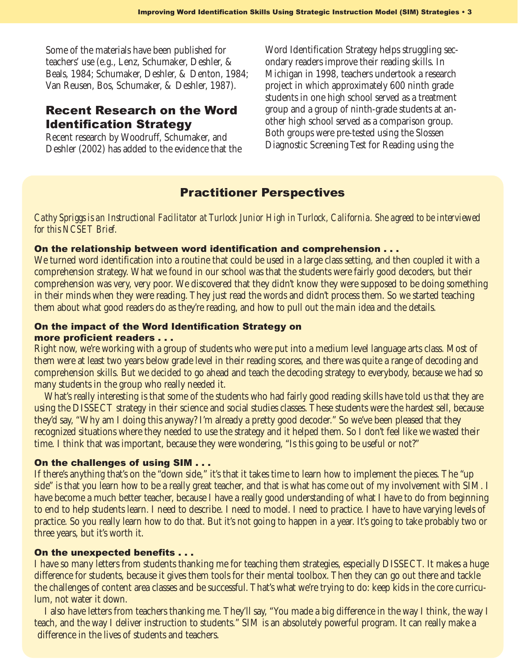Some of the materials have been published for teachers' use (e.g., Lenz, Schumaker, Deshler, & Beals, 1984; Schumaker, Deshler, & Denton, 1984; Van Reusen, Bos, Schumaker, & Deshler, 1987).

#### Recent Research on the Word Identification Strategy

Recent research by Woodruff, Schumaker, and Deshler (2002) has added to the evidence that the

**3** Word Identification Strategy helps struggling secondary readers improve their reading skills. In Michigan in 1998, teachers undertook a research project in which approximately 600 ninth grade students in one high school served as a treatment group and a group of ninth-grade students at another high school served as a comparison group. Both groups were pre-tested using the Slossen Diagnostic Screening Test for Reading using the

### Practitioner Perspectives

*Cathy Spriggs is an Instructional Facilitator at Turlock Junior High in Turlock, California. She agreed to be interviewed for this NCSET Brief.*

#### On the relationship between word identification and comprehension . . .

We turned word identification into a routine that could be used in a large class setting, and then coupled it with a comprehension strategy. What we found in our school was that the students were fairly good decoders, but their comprehension was very, very poor. We discovered that they didn't know they were supposed to be doing something in their minds when they were reading. They just read the words and didn't process them. So we started teaching them about what good readers do as they're reading, and how to pull out the main idea and the details.

#### On the impact of the Word Identification Strategy on

#### more proficient readers . . .

Right now, we're working with a group of students who were put into a medium level language arts class. Most of them were at least two years below grade level in their reading scores, and there was quite a range of decoding and comprehension skills. But we decided to go ahead and teach the decoding strategy to everybody, because we had so many students in the group who really needed it.

What's really interesting is that some of the students who had fairly good reading skills have told us that they are using the DISSECT strategy in their science and social studies classes. These students were the hardest sell, because they'd say, "Why am I doing this anyway? I'm already a pretty good decoder." So we've been pleased that they recognized situations where they needed to use the strategy and it helped them. So I don't feel like we wasted their time. I think that was important, because they were wondering, "Is this going to be useful or not?"

#### On the challenges of using SIM . . .

If there's anything that's on the "down side," it's that it takes time to learn how to implement the pieces. The "up side" is that you learn how to be a really great teacher, and that is what has come out of my involvement with SIM. I have become a much better teacher, because I have a really good understanding of what I have to do from beginning to end to help students learn. I need to describe. I need to model. I need to practice. I have to have varying levels of practice. So you really learn how to do that. But it's not going to happen in a year. It's going to take probably two or three years, but it's worth it.

#### On the unexpected benefits . . .

I have so many letters from students thanking me for teaching them strategies, especially DISSECT. It makes a huge difference for students, because it gives them tools for their mental toolbox. Then they can go out there and tackle the challenges of content area classes and be successful. That's what we're trying to do: keep kids in the core curriculum, not water it down.

I also have letters from teachers thanking me. They'll say, "You made a big difference in the way I think, the way I teach, and the way I deliver instruction to students." SIM is an absolutely powerful program. It can really make a difference in the lives of students and teachers.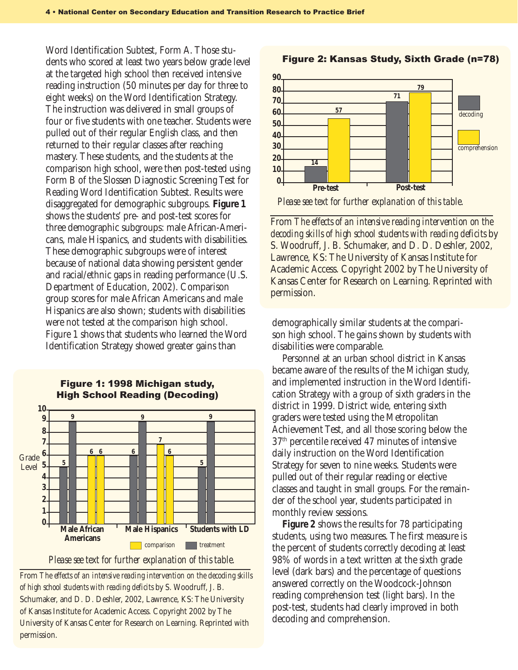Word Identification Subtest, Form A. Those students who scored at least two years below grade level at the targeted high school then received intensive reading instruction (50 minutes per day for three to eight weeks) on the Word Identification Strategy. The instruction was delivered in small groups of four or five students with one teacher. Students were pulled out of their regular English class, and then returned to their regular classes after reaching mastery. These students, and the students at the comparison high school, were then post-tested using Form B of the Slossen Diagnostic Screening Test for Reading Word Identification Subtest. Results were disaggregated for demographic subgroups. **Figure 1** shows the students' pre- and post-test scores for three demographic subgroups: male African-Americans, male Hispanics, and students with disabilities. These demographic subgroups were of interest because of national data showing persistent gender and racial/ethnic gaps in reading performance (U.S. Department of Education, 2002). Comparison group scores for male African Americans and male Hispanics are also shown; students with disabilities were not tested at the comparison high school. Figure 1 shows that students who learned the Word Identification Strategy showed greater gains than



#### Figure 1: 1998 Michigan study, High School Reading (Decoding)

From *The effects of an intensive reading intervention on the decoding skills of high school students with reading deficits* by S. Woodruff, J. B. Schumaker, and D. D. Deshler, 2002, Lawrence, KS: The University of Kansas Institute for Academic Access. Copyright 2002 by The University of Kansas Center for Research on Learning. Reprinted with permission.



#### Figure 2: Kansas Study, Sixth Grade (n=78)

*Please see text for further explanation of this table.*

From *The effects of an intensive reading intervention on the decoding skills of high school students with reading deficits* by S. Woodruff, J. B. Schumaker, and D. D. Deshler, 2002, Lawrence, KS: The University of Kansas Institute for Academic Access. Copyright 2002 by The University of Kansas Center for Research on Learning. Reprinted with permission.

demographically similar students at the comparison high school. The gains shown by students with disabilities were comparable.

Personnel at an urban school district in Kansas became aware of the results of the Michigan study, and implemented instruction in the Word Identification Strategy with a group of sixth graders in the district in 1999. District wide, entering sixth graders were tested using the Metropolitan Achievement Test, and all those scoring below the 37th percentile received 47 minutes of intensive daily instruction on the Word Identification Strategy for seven to nine weeks. Students were pulled out of their regular reading or elective classes and taught in small groups. For the remainder of the school year, students participated in monthly review sessions.

**Figure 2** shows the results for 78 participating students, using two measures. The first measure is the percent of students correctly decoding at least 98% of words in a text written at the sixth grade level (dark bars) and the percentage of questions answered correctly on the Woodcock-Johnson reading comprehension test (light bars). In the post-test, students had clearly improved in both decoding and comprehension.

*Please see text for further explanation of this table.*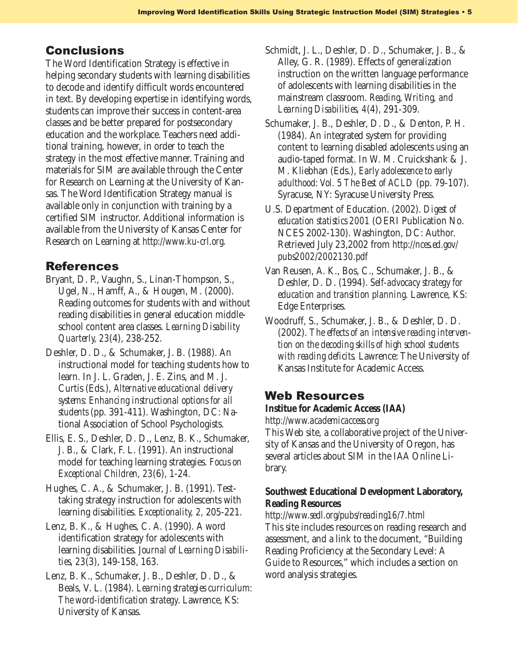The Word Identification Strategy is effective in helping secondary students with learning disabilities to decode and identify difficult words encountered in text. By developing expertise in identifying words, students can improve their success in content-area classes and be better prepared for postsecondary education and the workplace. Teachers need additional training, however, in order to teach the strategy in the most effective manner. Training and materials for SIM are available through the Center for Research on Learning at the University of Kansas. The Word Identification Strategy manual is available only in conjunction with training by a certified SIM instructor. Additional information is available from the University of Kansas Center for Research on Learning at *http://www.ku-crl.org*.

#### References

- Bryant, D. P., Vaughn, S., Linan-Thompson, S., Ugel, N., Hamff, A., & Hougen, M. (2000). Reading outcomes for students with and without reading disabilities in general education middleschool content area classes. *Learning Disability Quarterly, 23*(4), 238-252.
- Deshler, D. D., & Schumaker, J. B. (1988). An instructional model for teaching students how to learn. In J. L. Graden, J. E. Zins, and M. J. Curtis (Eds.), *Alternative educational delivery systems: Enhancing instructional options for all students* (pp. 391-411). Washington, DC: National Association of School Psychologists.
- Ellis, E. S., Deshler, D. D., Lenz, B. K., Schumaker, J. B., & Clark, F. L. (1991). An instructional model for teaching learning strategies. *Focus on Exceptional Children, 23*(6), 1-24.
- Hughes, C. A., & Schumaker, J. B. (1991). Testtaking strategy instruction for adolescents with learning disabilities. *Exceptionality, 2,* 205-221.
- Lenz, B. K., & Hughes, C. A. (1990). A word identification strategy for adolescents with learning disabilities. *Journal of Learning Disabilities, 23*(3), 149-158, 163.
- Lenz, B. K., Schumaker, J. B., Deshler, D. D., & Beals, V. L. (1984). *Learning strategies curriculum: The word-identification strategy*. Lawrence, KS: University of Kansas.
- Conclusions **5** Schmidt, J. L., Deshler, D. D., Schumaker, J. B., & Alley, G. R. (1989). Effects of generalization instruction on the written language performance of adolescents with learning disabilities in the mainstream classroom. *Reading, Writing, and Learning Disabilities, 4*(4), 291-309.
	- Schumaker, J. B., Deshler, D. D., & Denton, P. H. (1984). An integrated system for providing content to learning disabled adolescents using an audio-taped format. In W. M. Cruickshank & J. M. Kliebhan (Eds.), *Early adolescence to early adulthood: Vol. 5 The Best of ACLD* (pp. 79-107). Syracuse, NY: Syracuse University Press.
	- U.S. Department of Education. (2002). *Digest of education statistics 2001* (OERI Publication No. NCES 2002-130). Washington, DC: Author. Retrieved July 23,2002 from *http://nces.ed.gov/ pubs2002/2002130.pdf*
	- Van Reusen, A. K., Bos, C., Schumaker, J. B., & Deshler, D. D. (1994). *Self-advocacy strategy for education and transition planning*. Lawrence, KS: Edge Enterprises.
	- Woodruff, S., Schumaker, J. B., & Deshler, D. D. (2002). *The effects of an intensive reading intervention on the decoding skills of high school students with reading deficits.* Lawrence: The University of Kansas Institute for Academic Access.

#### Web Resources

#### **Institue for Academic Access (IAA)**

*http://www.academicaccess.org*

This Web site, a collaborative project of the University of Kansas and the University of Oregon, has several articles about SIM in the IAA Online Library.

#### **Southwest Educational Development Laboratory, Reading Resources**

#### *http://www.sedl.org/pubs/reading16/7.html* This site includes resources on reading research and assessment, and a link to the document, "Building Reading Proficiency at the Secondary Level: A Guide to Resources," which includes a section on word analysis strategies.